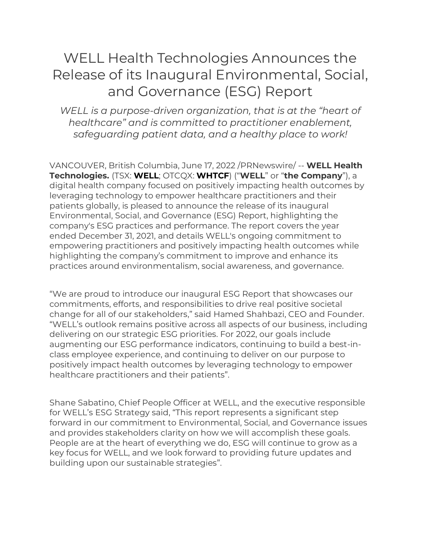# WELL Health Technologies Announces the Release of its Inaugural Environmental, Social, and Governance (ESG) Report

*WELL is a purpose-driven organization, that is at the "heart of healthcare" and is committed to practitioner enablement, safeguarding patient data, and a healthy place to work!*

VANCOUVER, British Columbia, June 17, 2022 /PRNewswire/ -- **WELL Health Technologies.** (TSX: **WELL**; OTCQX: **WHTCF**) ("**WELL**" or "**the Company**"), a digital health company focused on positively impacting health outcomes by leveraging technology to empower healthcare practitioners and their patients globally, is pleased to announce the release of its inaugural Environmental, Social, and Governance (ESG) Report, highlighting the company's ESG practices and performance. The report covers the year ended December 31, 2021, and details WELL's ongoing commitment to empowering practitioners and positively impacting health outcomes while highlighting the company's commitment to improve and enhance its practices around environmentalism, social awareness, and governance.

"We are proud to introduce our inaugural ESG Report that showcases our commitments, efforts, and responsibilities to drive real positive societal change for all of our stakeholders," said Hamed Shahbazi, CEO and Founder. "WELL's outlook remains positive across all aspects of our business, including delivering on our strategic ESG priorities. For 2022, our goals include augmenting our ESG performance indicators, continuing to build a best-inclass employee experience, and continuing to deliver on our purpose to positively impact health outcomes by leveraging technology to empower healthcare practitioners and their patients".

Shane Sabatino, Chief People Officer at WELL, and the executive responsible for WELL's ESG Strategy said, "This report represents a significant step forward in our commitment to Environmental, Social, and Governance issues and provides stakeholders clarity on how we will accomplish these goals. People are at the heart of everything we do, ESG will continue to grow as a key focus for WELL, and we look forward to providing future updates and building upon our sustainable strategies".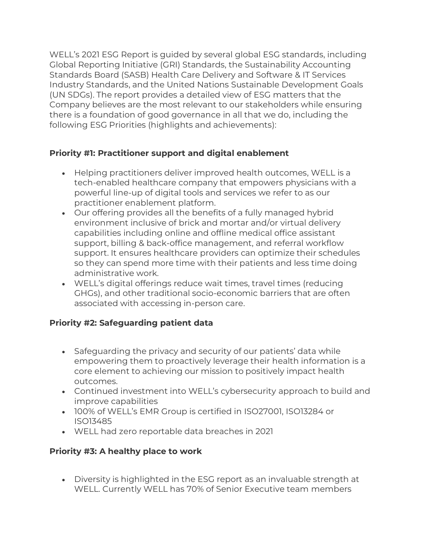WELL's 2021 ESG Report is guided by several global ESG standards, including Global Reporting Initiative (GRI) Standards, the Sustainability Accounting Standards Board (SASB) Health Care Delivery and Software & IT Services Industry Standards, and the United Nations Sustainable Development Goals (UN SDGs). The report provides a detailed view of ESG matters that the Company believes are the most relevant to our stakeholders while ensuring there is a foundation of good governance in all that we do, including the following ESG Priorities (highlights and achievements):

# **Priority #1: Practitioner support and digital enablement**

- Helping practitioners deliver improved health outcomes, WELL is a tech-enabled healthcare company that empowers physicians with a powerful line-up of digital tools and services we refer to as our practitioner enablement platform.
- Our offering provides all the benefits of a fully managed hybrid environment inclusive of brick and mortar and/or virtual delivery capabilities including online and offline medical office assistant support, billing & back-office management, and referral workflow support. It ensures healthcare providers can optimize their schedules so they can spend more time with their patients and less time doing administrative work.
- WELL's digital offerings reduce wait times, travel times (reducing GHGs), and other traditional socio-economic barriers that are often associated with accessing in-person care.

## **Priority #2: Safeguarding patient data**

- Safeguarding the privacy and security of our patients' data while empowering them to proactively leverage their health information is a core element to achieving our mission to positively impact health outcomes.
- Continued investment into WELL's cybersecurity approach to build and improve capabilities
- 100% of WELL's EMR Group is certified in ISO27001, ISO13284 or ISO13485
- WELL had zero reportable data breaches in 2021

## **Priority #3: A healthy place to work**

• Diversity is highlighted in the ESG report as an invaluable strength at WELL. Currently WELL has 70% of Senior Executive team members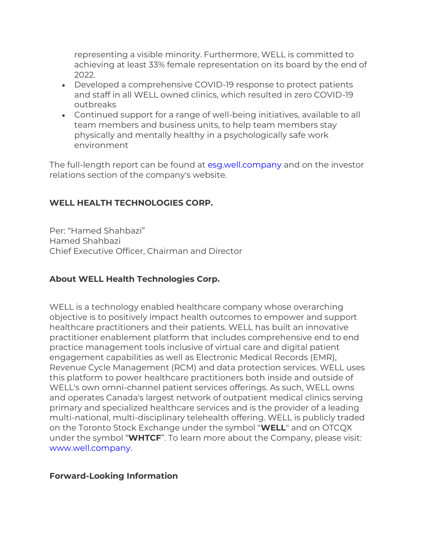representing a visible minority. Furthermore, WELL is committed to achieving at least 33% female representation on its board by the end of 2022.

- Developed a comprehensive COVID-19 response to protect patients and staff in all WELL owned clinics, which resulted in zero COVID-19 outbreaks
- Continued support for a range of well-being initiatives, available to all team members and business units, to help team members stay physically and mentally healthy in a psychologically safe work environment

The full-length report can be found at<esg.well.company> and on the investor relations section of the company's website.

# **WELL HEALTH TECHNOLOGIES CORP.**

Per: "Hamed Shahbazi" Hamed Shahbazi Chief Executive Officer, Chairman and Director

## **About WELL Health Technologies Corp.**

WELL is a technology enabled healthcare company whose overarching objective is to positively impact health outcomes to empower and support healthcare practitioners and their patients. WELL has built an innovative practitioner enablement platform that includes comprehensive end to end practice management tools inclusive of virtual care and digital patient engagement capabilities as well as Electronic Medical Records (EMR), Revenue Cycle Management (RCM) and data protection services. WELL uses this platform to power healthcare practitioners both inside and outside of WELL's own omni-channel patient services offerings. As such, WELL owns and operates Canada's largest network of outpatient medical clinics serving primary and specialized healthcare services and is the provider of a leading multi-national, multi-disciplinary telehealth offering. WELL is publicly traded on the Toronto Stock Exchange under the symbol "**WELL**" and on OTCQX under the symbol "**WHTCF**". To learn more about the Company, please visit: [www.well.company.](http://www.well.company/)

#### **Forward-Looking Information**